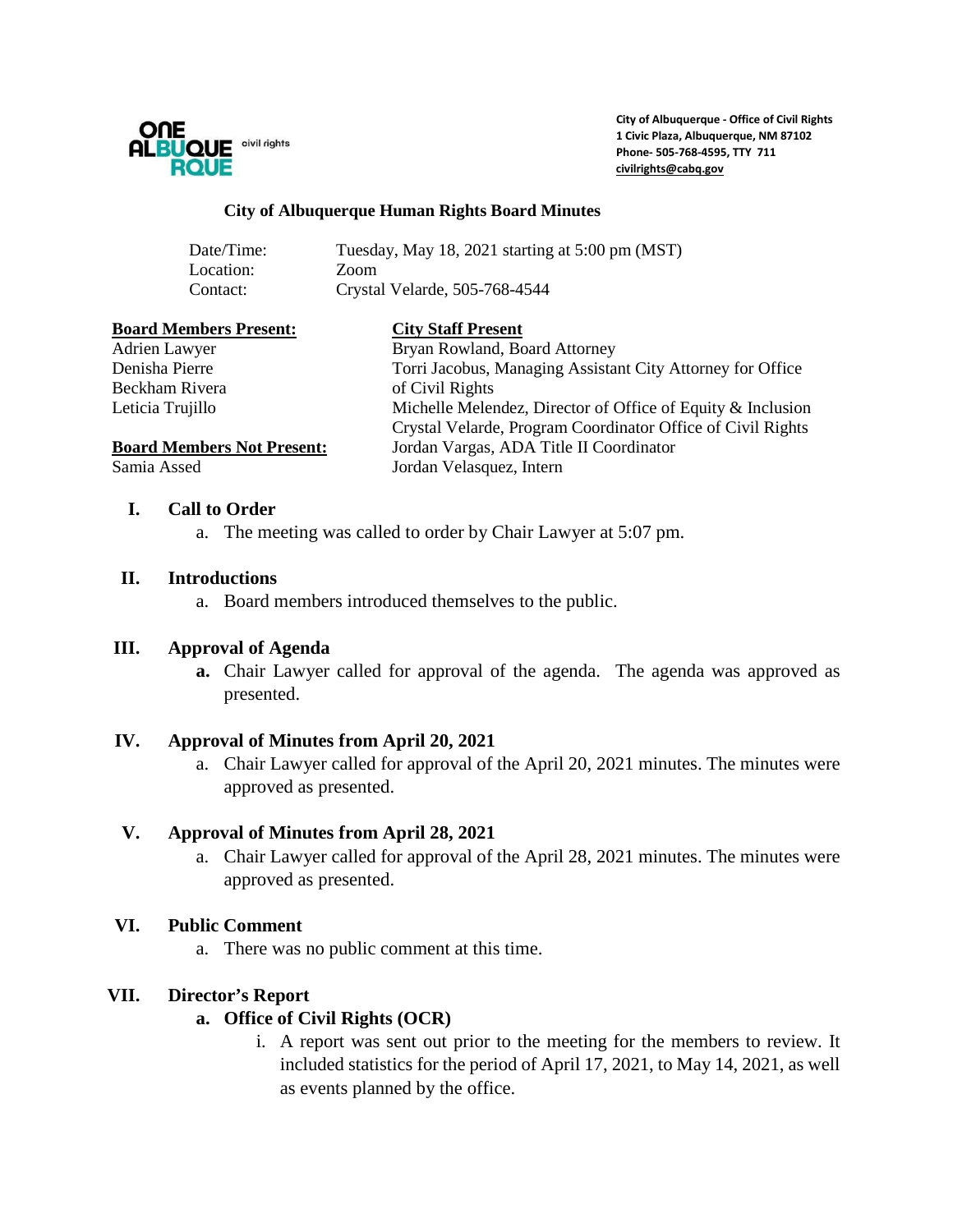

**City of Albuquerque - Office of Civil Rights 1 Civic Plaza, Albuquerque, NM 87102 Phone- 505-768-4595, TTY 711 [civilrights@cabq.gov](mailto:civilrights@cabq.gov)**

#### **City of Albuquerque Human Rights Board Minutes**

| Date/Time: | Tuesday, May 18, 2021 starting at 5:00 pm (MST) |
|------------|-------------------------------------------------|
| Location:  | Zoom                                            |
| Contact:   | Crystal Velarde, 505-768-4544                   |

| <b>Board Members Present:</b>     | <b>City Staff Present</b>                                   |
|-----------------------------------|-------------------------------------------------------------|
| Adrien Lawyer                     | Bryan Rowland, Board Attorney                               |
| Denisha Pierre                    | Torri Jacobus, Managing Assistant City Attorney for Office  |
| Beckham Rivera                    | of Civil Rights                                             |
| Leticia Trujillo                  | Michelle Melendez, Director of Office of Equity & Inclusion |
|                                   | Crystal Velarde, Program Coordinator Office of Civil Rights |
| <b>Board Members Not Present:</b> | Jordan Vargas, ADA Title II Coordinator                     |
| Samia Assed                       | Jordan Velasquez, Intern                                    |
|                                   |                                                             |

### **I. Call to Order**

a. The meeting was called to order by Chair Lawyer at 5:07 pm.

#### **II. Introductions**

a. Board members introduced themselves to the public.

#### **III. Approval of Agenda**

**a.** Chair Lawyer called for approval of the agenda. The agenda was approved as presented.

### **IV. Approval of Minutes from April 20, 2021**

a. Chair Lawyer called for approval of the April 20, 2021 minutes. The minutes were approved as presented.

### **V. Approval of Minutes from April 28, 2021**

a. Chair Lawyer called for approval of the April 28, 2021 minutes. The minutes were approved as presented.

### **VI. Public Comment**

a. There was no public comment at this time.

### **VII. Director's Report**

### **a. Office of Civil Rights (OCR)**

i. A report was sent out prior to the meeting for the members to review. It included statistics for the period of April 17, 2021, to May 14, 2021, as well as events planned by the office.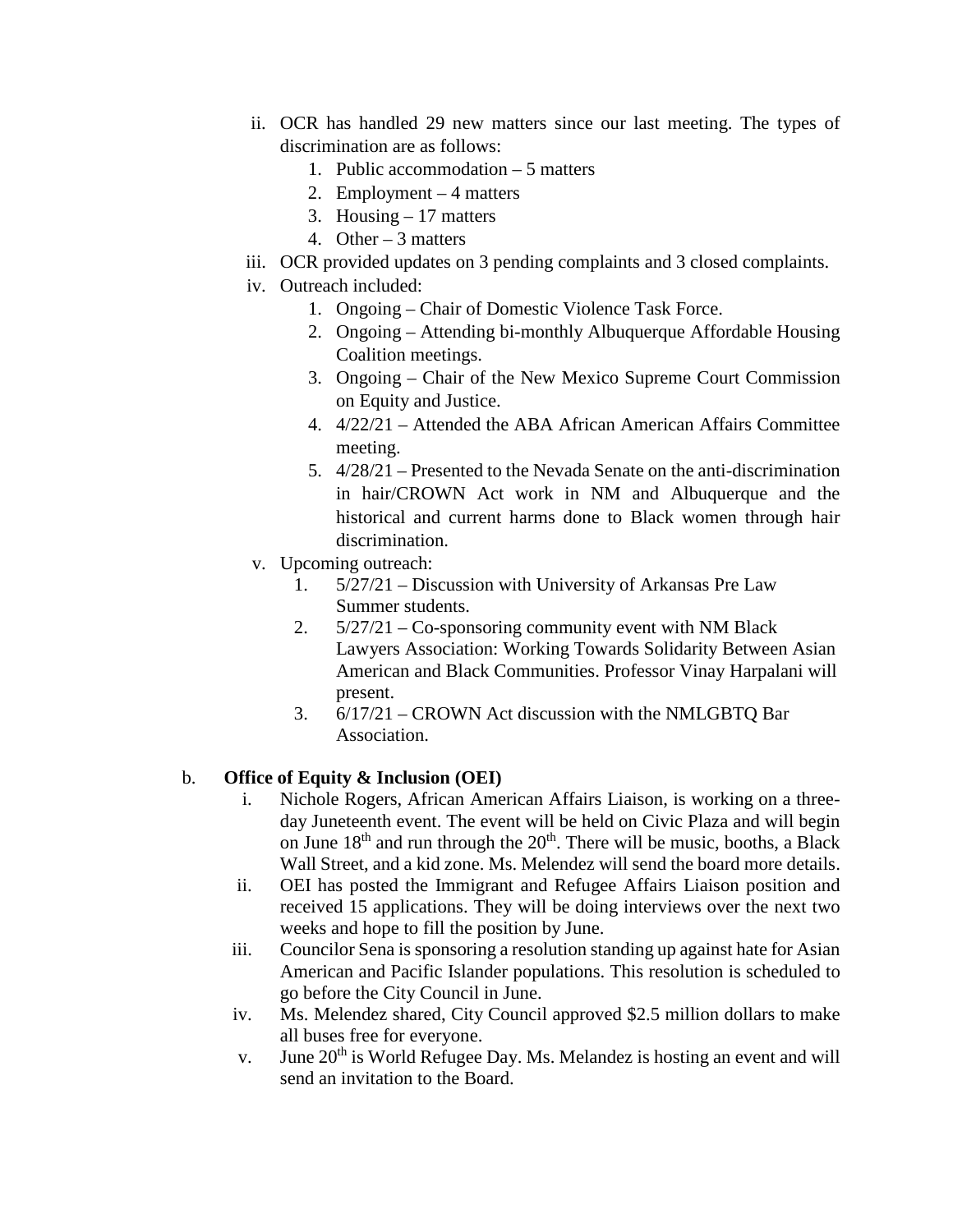- ii. OCR has handled 29 new matters since our last meeting. The types of discrimination are as follows:
	- 1. Public accommodation 5 matters
	- 2. Employment 4 matters
	- 3. Housing 17 matters
	- 4. Other 3 matters
- iii. OCR provided updates on 3 pending complaints and 3 closed complaints.
- iv. Outreach included:
	- 1. Ongoing Chair of Domestic Violence Task Force.
	- 2. Ongoing Attending bi-monthly Albuquerque Affordable Housing Coalition meetings.
	- 3. Ongoing Chair of the New Mexico Supreme Court Commission on Equity and Justice.
	- 4. 4/22/21 Attended the ABA African American Affairs Committee meeting.
	- 5. 4/28/21 Presented to the Nevada Senate on the anti-discrimination in hair/CROWN Act work in NM and Albuquerque and the historical and current harms done to Black women through hair discrimination.
- v. Upcoming outreach:
	- 1. 5/27/21 Discussion with University of Arkansas Pre Law Summer students.
	- 2. 5/27/21 Co-sponsoring community event with NM Black Lawyers Association: Working Towards Solidarity Between Asian American and Black Communities. Professor Vinay Harpalani will present.
	- 3. 6/17/21 CROWN Act discussion with the NMLGBTQ Bar Association.

# b. **Office of Equity & Inclusion (OEI)**

- i. Nichole Rogers, African American Affairs Liaison, is working on a threeday Juneteenth event. The event will be held on Civic Plaza and will begin on June  $18<sup>th</sup>$  and run through the  $20<sup>th</sup>$ . There will be music, booths, a Black Wall Street, and a kid zone. Ms. Melendez will send the board more details.
- ii. OEI has posted the Immigrant and Refugee Affairs Liaison position and received 15 applications. They will be doing interviews over the next two weeks and hope to fill the position by June.
- iii. Councilor Sena is sponsoring a resolution standing up against hate for Asian American and Pacific Islander populations. This resolution is scheduled to go before the City Council in June.
- iv. Ms. Melendez shared, City Council approved \$2.5 million dollars to make all buses free for everyone.
- v. June 20<sup>th</sup> is World Refugee Day. Ms. Melandez is hosting an event and will send an invitation to the Board.